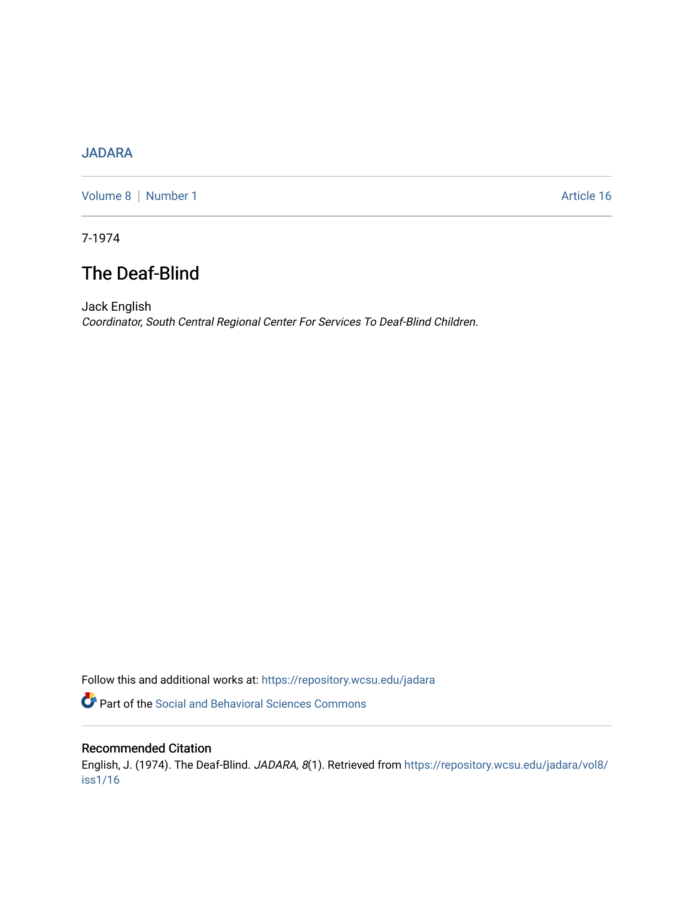## [JADARA](https://repository.wcsu.edu/jadara)

[Volume 8](https://repository.wcsu.edu/jadara/vol8) | [Number 1](https://repository.wcsu.edu/jadara/vol8/iss1) Article 16

7-1974

# The Deaf-Blind

Jack English Coordinator, South Central Regional Center For Services To Deaf-Blind Children.

Follow this and additional works at: [https://repository.wcsu.edu/jadara](https://repository.wcsu.edu/jadara?utm_source=repository.wcsu.edu%2Fjadara%2Fvol8%2Fiss1%2F16&utm_medium=PDF&utm_campaign=PDFCoverPages)

**P** Part of the Social and Behavioral Sciences Commons

### Recommended Citation

English, J. (1974). The Deaf-Blind. JADARA, 8(1). Retrieved from [https://repository.wcsu.edu/jadara/vol8/](https://repository.wcsu.edu/jadara/vol8/iss1/16?utm_source=repository.wcsu.edu%2Fjadara%2Fvol8%2Fiss1%2F16&utm_medium=PDF&utm_campaign=PDFCoverPages) [iss1/16](https://repository.wcsu.edu/jadara/vol8/iss1/16?utm_source=repository.wcsu.edu%2Fjadara%2Fvol8%2Fiss1%2F16&utm_medium=PDF&utm_campaign=PDFCoverPages)